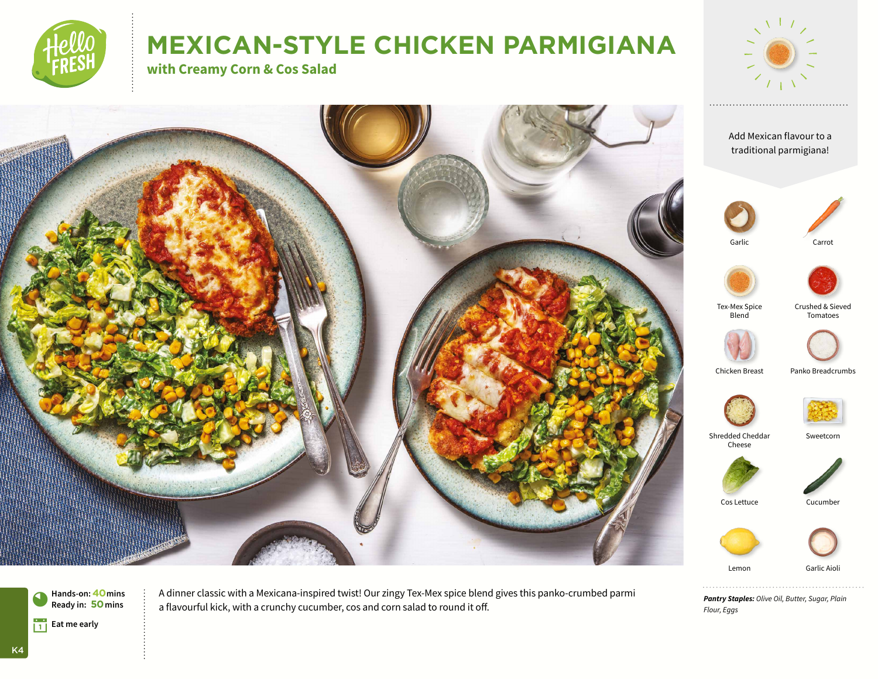

# **MEXICAN-STYLE CHICKEN PARMIGIANA**

**with Creamy Corn & Cos Salad**









Garlic





Tex-Mex Spice Blend

Crushed & Sieved Tomatoes



Chicken Breast Panko Breadcrumbs



Shredded Cheddar Cheese



Sweetcorn



Lemon Garlic Aiol

. . . . . . . . . . . . . . *Pantry Staples: Olive Oil, Butter, Sugar, Plain Flour, Eggs*

**Hands-on:40mins** 0**Ready in: 50mins Eat me early** 





K4